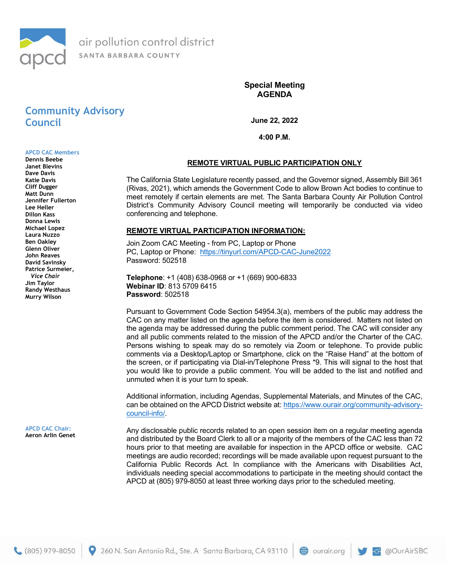

Special Meeting AGENDA

# Community Advisory Council

June 22, 2022

4:00 P.M.

#### APCD CAC Members Dennis Beebe

Janet Blevins Dave Davis Katie Davis Cliff Dugger Matt Dunn Jennifer Fullerton Lee Heller Dillon Kass Donna Lewis Michael Lopez Laura Nuzzo Ben Oakley Glenn Oliver John Reaves David Savinsky Patrice Surmeier, Vice Chair Jim Taylor Randy Westhaus Murry Wilson

APCD CAC Chair: Aeron Arlin Genet

### REMOTE VIRTUAL PUBLIC PARTICIPATION ONLY

The California State Legislature recently passed, and the Governor signed, Assembly Bill 361 (Rivas, 2021), which amends the Government Code to allow Brown Act bodies to continue to meet remotely if certain elements are met. The Santa Barbara County Air Pollution Control District's Community Advisory Council meeting will temporarily be conducted via video conferencing and telephone.

#### REMOTE VIRTUAL PARTICIPATION INFORMATION:

Join Zoom CAC Meeting - from PC, Laptop or Phone PC, Laptop or Phone: https://tinyurl.com/APCD-CAC-June2022 Password: 502518

Telephone: +1 (408) 638-0968 or +1 (669) 900-6833 Webinar ID: 813 5709 6415 Password: 502518

Pursuant to Government Code Section 54954.3(a), members of the public may address the CAC on any matter listed on the agenda before the item is considered. Matters not listed on the agenda may be addressed during the public comment period. The CAC will consider any and all public comments related to the mission of the APCD and/or the Charter of the CAC. Persons wishing to speak may do so remotely via Zoom or telephone. To provide public comments via a Desktop/Laptop or Smartphone, click on the "Raise Hand" at the bottom of the screen, or if participating via Dial-in/Telephone Press \*9. This will signal to the host that you would like to provide a public comment. You will be added to the list and notified and unmuted when it is your turn to speak.

Additional information, including Agendas, Supplemental Materials, and Minutes of the CAC, can be obtained on the APCD District website at: https://www.ourair.org/community-advisorycouncil-info/.

Any disclosable public records related to an open session item on a regular meeting agenda and distributed by the Board Clerk to all or a majority of the members of the CAC less than 72 hours prior to that meeting are available for inspection in the APCD office or website. CAC meetings are audio recorded; recordings will be made available upon request pursuant to the California Public Records Act. In compliance with the Americans with Disabilities Act, individuals needing special accommodations to participate in the meeting should contact the APCD at (805) 979-8050 at least three working days prior to the scheduled meeting.

260 N. San Antonio Rd., Ste. A Santa Barbara, CA 93110

 $\bigoplus$  ourair.org

@OurAirSBC